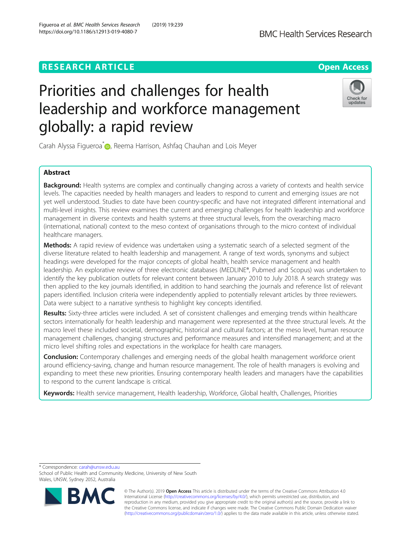https://doi.org/10.1186/s12913-019-4080-7

## **RESEARCH ARTICLE Example 2014 12:30 The Contract of Contract ACCESS**

# Priorities and challenges for health leadership and workforce management globally: a rapid review



Carah Alyssa Figueroa<sup>[\\*](http://orcid.org/0000-0002-8825-7796)</sup> <sub>(D</sub>, Reema Harrison, Ashfaq Chauhan and Lois Meyer

### Abstract

Background: Health systems are complex and continually changing across a variety of contexts and health service levels. The capacities needed by health managers and leaders to respond to current and emerging issues are not yet well understood. Studies to date have been country-specific and have not integrated different international and multi-level insights. This review examines the current and emerging challenges for health leadership and workforce management in diverse contexts and health systems at three structural levels, from the overarching macro (international, national) context to the meso context of organisations through to the micro context of individual healthcare managers.

**Methods:** A rapid review of evidence was undertaken using a systematic search of a selected segment of the diverse literature related to health leadership and management. A range of text words, synonyms and subject headings were developed for the major concepts of global health, health service management and health leadership. An explorative review of three electronic databases (MEDLINE®, Pubmed and Scopus) was undertaken to identify the key publication outlets for relevant content between January 2010 to July 2018. A search strategy was then applied to the key journals identified, in addition to hand searching the journals and reference list of relevant papers identified. Inclusion criteria were independently applied to potentially relevant articles by three reviewers. Data were subject to a narrative synthesis to highlight key concepts identified.

Results: Sixty-three articles were included. A set of consistent challenges and emerging trends within healthcare sectors internationally for health leadership and management were represented at the three structural levels. At the macro level these included societal, demographic, historical and cultural factors; at the meso level, human resource management challenges, changing structures and performance measures and intensified management; and at the micro level shifting roles and expectations in the workplace for health care managers.

**Conclusion:** Contemporary challenges and emerging needs of the global health management workforce orient around efficiency-saving, change and human resource management. The role of health managers is evolving and expanding to meet these new priorities. Ensuring contemporary health leaders and managers have the capabilities to respond to the current landscape is critical.

Keywords: Health service management, Health leadership, Workforce, Global health, Challenges, Priorities

\* Correspondence: [carah@unsw.edu.au](mailto:carah@unsw.edu.au)

School of Public Health and Community Medicine, University of New South Wales, UNSW, Sydney 2052, Australia



© The Author(s). 2019 Open Access This article is distributed under the terms of the Creative Commons Attribution 4.0 International License [\(http://creativecommons.org/licenses/by/4.0/](http://creativecommons.org/licenses/by/4.0/)), which permits unrestricted use, distribution, and reproduction in any medium, provided you give appropriate credit to the original author(s) and the source, provide a link to the Creative Commons license, and indicate if changes were made. The Creative Commons Public Domain Dedication waiver [\(http://creativecommons.org/publicdomain/zero/1.0/](http://creativecommons.org/publicdomain/zero/1.0/)) applies to the data made available in this article, unless otherwise stated.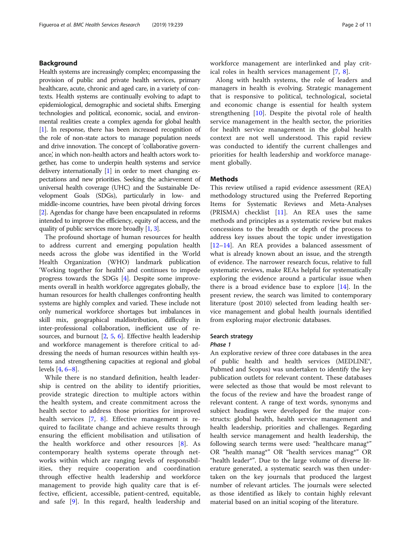#### Background

Health systems are increasingly complex; encompassing the provision of public and private health services, primary healthcare, acute, chronic and aged care, in a variety of contexts. Health systems are continually evolving to adapt to epidemiological, demographic and societal shifts. Emerging technologies and political, economic, social, and environmental realities create a complex agenda for global health [[1](#page-9-0)]. In response, there has been increased recognition of the role of non-state actors to manage population needs and drive innovation. The concept of 'collaborative governance,' in which non-health actors and health actors work together, has come to underpin health systems and service delivery internationally [\[1](#page-9-0)] in order to meet changing expectations and new priorities. Seeking the achievement of universal health coverage (UHC) and the Sustainable Development Goals (SDGs), particularly in low- and middle-income countries, have been pivotal driving forces [[2](#page-9-0)]. Agendas for change have been encapsulated in reforms intended to improve the efficiency, equity of access, and the quality of public services more broadly [[1](#page-9-0), [3\]](#page-9-0).

The profound shortage of human resources for health to address current and emerging population health needs across the globe was identified in the World Health Organization (WHO) landmark publication 'Working together for health' and continues to impede progress towards the SDGs [[4\]](#page-9-0). Despite some improvements overall in health workforce aggregates globally, the human resources for health challenges confronting health systems are highly complex and varied. These include not only numerical workforce shortages but imbalances in skill mix, geographical maldistribution, difficulty in inter-professional collaboration, inefficient use of resources, and burnout [[2,](#page-9-0) [5](#page-9-0), [6](#page-9-0)]. Effective health leadership and workforce management is therefore critical to addressing the needs of human resources within health systems and strengthening capacities at regional and global levels [\[4,](#page-9-0) [6](#page-9-0)–[8](#page-9-0)].

While there is no standard definition, health leadership is centred on the ability to identify priorities, provide strategic direction to multiple actors within the health system, and create commitment across the health sector to address those priorities for improved health services [[7,](#page-9-0) [8\]](#page-9-0). Effective management is required to facilitate change and achieve results through ensuring the efficient mobilisation and utilisation of the health workforce and other resources [[8\]](#page-9-0). As contemporary health systems operate through networks within which are ranging levels of responsibilities, they require cooperation and coordination through effective health leadership and workforce management to provide high quality care that is effective, efficient, accessible, patient-centred, equitable, and safe [\[9](#page-9-0)]. In this regard, health leadership and workforce management are interlinked and play critical roles in health services management [[7,](#page-9-0) [8\]](#page-9-0).

Along with health systems, the role of leaders and managers in health is evolving. Strategic management that is responsive to political, technological, societal and economic change is essential for health system strengthening [\[10](#page-9-0)]. Despite the pivotal role of health service management in the health sector, the priorities for health service management in the global health context are not well understood. This rapid review was conducted to identify the current challenges and priorities for health leadership and workforce management globally.

#### **Methods**

This review utilised a rapid evidence assessment (REA) methodology structured using the Preferred Reporting Items for Systematic Reviews and Meta-Analyses (PRISMA) checklist [[11\]](#page-9-0). An REA uses the same methods and principles as a systematic review but makes concessions to the breadth or depth of the process to address key issues about the topic under investigation [[12](#page-9-0)–[14](#page-9-0)]. An REA provides a balanced assessment of what is already known about an issue, and the strength of evidence. The narrower research focus, relative to full systematic reviews, make REAs helpful for systematically exploring the evidence around a particular issue when there is a broad evidence base to explore [\[14](#page-9-0)]. In the present review, the search was limited to contemporary literature (post 2010) selected from leading health service management and global health journals identified from exploring major electronic databases.

#### Search strategy

#### Phase 1

An explorative review of three core databases in the area of public health and health services (MEDLINE®, Pubmed and Scopus) was undertaken to identify the key publication outlets for relevant content. These databases were selected as those that would be most relevant to the focus of the review and have the broadest range of relevant content. A range of text words, synonyms and subject headings were developed for the major constructs: global health, health service management and health leadership, priorities and challenges. Regarding health service management and health leadership, the following search terms were used: "healthcare manag\*" OR "health manag\*" OR "health services manag\*" OR "health leader\*". Due to the large volume of diverse literature generated, a systematic search was then undertaken on the key journals that produced the largest number of relevant articles. The journals were selected as those identified as likely to contain highly relevant material based on an initial scoping of the literature.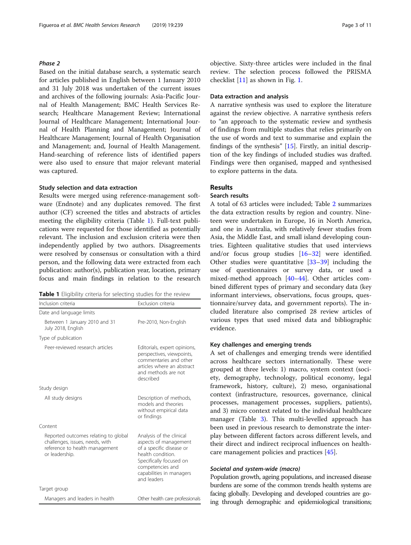#### Phase 2

Based on the initial database search, a systematic search for articles published in English between 1 January 2010 and 31 July 2018 was undertaken of the current issues and archives of the following journals: Asia-Pacific Journal of Health Management; BMC Health Services Research; Healthcare Management Review; International Journal of Healthcare Management; International Journal of Health Planning and Management; Journal of Healthcare Management; Journal of Health Organisation and Management; and, Journal of Health Management. Hand-searching of reference lists of identified papers were also used to ensure that major relevant material was captured.

#### Study selection and data extraction

Results were merged using reference-management software (Endnote) and any duplicates removed. The first author (CF) screened the titles and abstracts of articles meeting the eligibility criteria (Table 1). Full-text publications were requested for those identified as potentially relevant. The inclusion and exclusion criteria were then independently applied by two authors. Disagreements were resolved by consensus or consultation with a third person, and the following data were extracted from each publication: author(s), publication year, location, primary focus and main findings in relation to the research

|  |  | Table 1 Eligibility criteria for selecting studies for the review |  |  |  |  |  |  |  |
|--|--|-------------------------------------------------------------------|--|--|--|--|--|--|--|
|--|--|-------------------------------------------------------------------|--|--|--|--|--|--|--|

| Inclusion criteria                                                                                                          | Exclusion criteria                                                                                                                                                                           |
|-----------------------------------------------------------------------------------------------------------------------------|----------------------------------------------------------------------------------------------------------------------------------------------------------------------------------------------|
| Date and language limits                                                                                                    |                                                                                                                                                                                              |
| Between 1 January 2010 and 31<br>July 2018, English                                                                         | Pre-2010, Non-English                                                                                                                                                                        |
| Type of publication                                                                                                         |                                                                                                                                                                                              |
| Peer-reviewed research articles                                                                                             | Editorials, expert opinions,<br>perspectives, viewpoints,<br>commentaries and other<br>articles where an abstract<br>and methods are not<br>described                                        |
| Study design                                                                                                                |                                                                                                                                                                                              |
| All study designs                                                                                                           | Description of methods,<br>models and theories<br>without empirical data<br>or findings                                                                                                      |
| Content                                                                                                                     |                                                                                                                                                                                              |
| Reported outcomes relating to global<br>challenges, issues, needs, with<br>reference to health management<br>or leadership. | Analysis of the clinical<br>aspects of management<br>of a specific disease or<br>health condition.<br>Specifically focused on<br>competencies and<br>capabilities in managers<br>and leaders |
| Target group                                                                                                                |                                                                                                                                                                                              |
| Managers and leaders in health                                                                                              | Other health care professionals                                                                                                                                                              |

objective. Sixty-three articles were included in the final review. The selection process followed the PRISMA checklist [\[11](#page-9-0)] as shown in Fig. [1](#page-3-0).

#### Data extraction and analysis

A narrative synthesis was used to explore the literature against the review objective. A narrative synthesis refers to "an approach to the systematic review and synthesis of findings from multiple studies that relies primarily on the use of words and text to summarise and explain the findings of the synthesis" [[15\]](#page-9-0). Firstly, an initial description of the key findings of included studies was drafted. Findings were then organised, mapped and synthesised to explore patterns in the data.

#### Results

#### Search results

A total of 63 articles were included; Table [2](#page-4-0) summarizes the data extraction results by region and country. Nineteen were undertaken in Europe, 16 in North America, and one in Australia, with relatively fewer studies from Asia, the Middle East, and small island developing countries. Eighteen qualitative studies that used interviews and/or focus group studies [\[16](#page-9-0)–[32\]](#page-9-0) were identified. Other studies were quantitative [\[33](#page-9-0)–[39](#page-10-0)] including the use of questionnaires or survey data, or used a mixed-method approach [[40](#page-10-0)–[44](#page-10-0)]. Other articles combined different types of primary and secondary data (key informant interviews, observations, focus groups, questionnaire/survey data, and government reports). The included literature also comprised 28 review articles of various types that used mixed data and bibliographic evidence.

#### Key challenges and emerging trends

A set of challenges and emerging trends were identified across healthcare sectors internationally. These were grouped at three levels: 1) macro, system context (society, demography, technology, political economy, legal framework, history, culture), 2) meso, organisational context (infrastructure, resources, governance, clinical processes, management processes, suppliers, patients), and 3) micro context related to the individual healthcare manager (Table [3\)](#page-5-0). This multi-levelled approach has been used in previous research to demonstrate the interplay between different factors across different levels, and their direct and indirect reciprocal influences on healthcare management policies and practices [[45\]](#page-10-0).

#### Societal and system-wide (macro)

Population growth, ageing populations, and increased disease burdens are some of the common trends health systems are facing globally. Developing and developed countries are going through demographic and epidemiological transitions;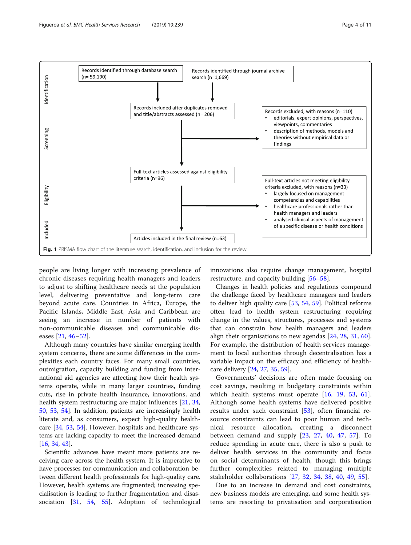<span id="page-3-0"></span>

people are living longer with increasing prevalence of chronic diseases requiring health managers and leaders to adjust to shifting healthcare needs at the population level, delivering preventative and long-term care beyond acute care. Countries in Africa, Europe, the Pacific Islands, Middle East, Asia and Caribbean are seeing an increase in number of patients with non-communicable diseases and communicable diseases [\[21](#page-9-0), [46](#page-10-0)–[52](#page-10-0)].

Although many countries have similar emerging health system concerns, there are some differences in the complexities each country faces. For many small countries, outmigration, capacity building and funding from international aid agencies are affecting how their health systems operate, while in many larger countries, funding cuts, rise in private health insurance, innovations, and health system restructuring are major influences [\[21](#page-9-0), [34](#page-9-0), [50,](#page-10-0) [53](#page-10-0), [54](#page-10-0)]. In addition, patients are increasingly health literate and, as consumers, expect high-quality healthcare [\[34](#page-9-0), [53,](#page-10-0) [54](#page-10-0)]. However, hospitals and healthcare systems are lacking capacity to meet the increased demand [[16,](#page-9-0) [34,](#page-9-0) [43](#page-10-0)].

Scientific advances have meant more patients are receiving care across the health system. It is imperative to have processes for communication and collaboration between different health professionals for high-quality care. However, health systems are fragmented; increasing specialisation is leading to further fragmentation and disassociation [\[31](#page-9-0), [54](#page-10-0), [55](#page-10-0)]. Adoption of technological

innovations also require change management, hospital restructure, and capacity building [\[56](#page-10-0)–[58\]](#page-10-0).

Changes in health policies and regulations compound the challenge faced by healthcare managers and leaders to deliver high quality care [\[53,](#page-10-0) [54](#page-10-0), [59](#page-10-0)]. Political reforms often lead to health system restructuring requiring change in the values, structures, processes and systems that can constrain how health managers and leaders align their organisations to new agendas [[24,](#page-9-0) [28,](#page-9-0) [31](#page-9-0), [60](#page-10-0)]. For example, the distribution of health services management to local authorities through decentralisation has a variable impact on the efficacy and efficiency of healthcare delivery [\[24](#page-9-0), [27](#page-9-0), [35](#page-9-0), [59\]](#page-10-0).

Governments' decisions are often made focusing on cost savings, resulting in budgetary constraints within which health systems must operate [[16](#page-9-0), [19,](#page-9-0) [53](#page-10-0), [61](#page-10-0)]. Although some health systems have delivered positive results under such constraint [\[53](#page-10-0)], often financial resource constraints can lead to poor human and technical resource allocation, creating a disconnect between demand and supply [[23,](#page-9-0) [27,](#page-9-0) [40](#page-10-0), [47](#page-10-0), [57](#page-10-0)]. To reduce spending in acute care, there is also a push to deliver health services in the community and focus on social determinants of health, though this brings further complexities related to managing multiple stakeholder collaborations [\[27](#page-9-0), [32,](#page-9-0) [34,](#page-9-0) [38,](#page-10-0) [40](#page-10-0), [49](#page-10-0), [55](#page-10-0)].

Due to an increase in demand and cost constraints, new business models are emerging, and some health systems are resorting to privatisation and corporatisation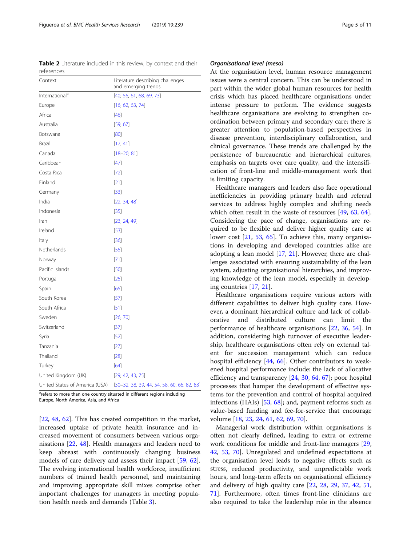<sup>a</sup>refers to more than one country situated in different regions including Europe, North America, Asia, and Africa

[[22,](#page-9-0) [48,](#page-10-0) [62](#page-10-0)]. This has created competition in the market, increased uptake of private health insurance and increased movement of consumers between various organisations [[22,](#page-9-0) [48](#page-10-0)]. Health managers and leaders need to keep abreast with continuously changing business models of care delivery and assess their impact [[59,](#page-10-0) [62](#page-10-0)]. The evolving international health workforce, insufficient numbers of trained health personnel, and maintaining and improving appropriate skill mixes comprise other important challenges for managers in meeting population health needs and demands (Table [3\)](#page-5-0).

<span id="page-4-0"></span>Table 2 Literature included in this review, by context and their references

| Context                        | Literature describing challenges<br>and emerging trends |
|--------------------------------|---------------------------------------------------------|
| International <sup>a</sup>     | [40, 56, 61, 68, 69, 73]                                |
| Europe                         | [16, 62, 63, 74]                                        |
| Africa                         | $[46]$                                                  |
| Australia                      | [59, 67]                                                |
| Botswana                       | [80]                                                    |
| Brazil                         | [17, 41]                                                |
| Canada                         | $[18 - 20, 81]$                                         |
| Caribbean                      | $[47]$                                                  |
| Costa Rica                     | $[72]$                                                  |
| Finland                        | $[21]$                                                  |
| Germany                        | $[33]$                                                  |
| India                          | [22, 34, 48]                                            |
| Indonesia                      | $[35]$                                                  |
| Iran                           | [23, 24, 49]                                            |
| Ireland                        | $[53]$                                                  |
| Italy                          | $[36]$                                                  |
| Netherlands                    | $[55]$                                                  |
| Norway                         | [71]                                                    |
| Pacific Islands                | $[50]$                                                  |
| Portugal                       | $[25]$                                                  |
| Spain                          | [65]                                                    |
| South Korea                    | $[57]$                                                  |
| South Africa                   | $[51]$                                                  |
| Sweden                         | [26, 70]                                                |
| Switzerland                    | $[37]$                                                  |
| Syria                          | $[52]$                                                  |
| Tanzania                       | $[27]$                                                  |
| Thailand                       | $[28]$                                                  |
| Turkey                         | [64]                                                    |
| United Kingdom (UK)            | [29, 42, 43, 75]                                        |
| United States of America (USA) | [30-32, 38, 39, 44, 54, 58, 60, 66, 82, 83]             |

#### Organisational level (meso)

At the organisation level, human resource management issues were a central concern. This can be understood in part within the wider global human resources for health crisis which has placed healthcare organisations under intense pressure to perform. The evidence suggests healthcare organisations are evolving to strengthen coordination between primary and secondary care; there is greater attention to population-based perspectives in disease prevention, interdisciplinary collaboration, and clinical governance. These trends are challenged by the persistence of bureaucratic and hierarchical cultures, emphasis on targets over care quality, and the intensification of front-line and middle-management work that is limiting capacity.

Healthcare managers and leaders also face operational inefficiencies in providing primary health and referral services to address highly complex and shifting needs which often result in the waste of resources [[49,](#page-10-0) [63,](#page-10-0) [64](#page-10-0)]. Considering the pace of change, organisations are required to be flexible and deliver higher quality care at lower cost [\[21](#page-9-0), [53,](#page-10-0) [65\]](#page-10-0). To achieve this, many organisations in developing and developed countries alike are adopting a lean model [\[17](#page-9-0), [21](#page-9-0)]. However, there are challenges associated with ensuring sustainability of the lean system, adjusting organisational hierarchies, and improving knowledge of the lean model, especially in developing countries [\[17](#page-9-0), [21](#page-9-0)].

Healthcare organisations require various actors with different capabilities to deliver high quality care. However, a dominant hierarchical culture and lack of collaborative and distributed culture can limit the performance of healthcare organisations [\[22](#page-9-0), [36,](#page-9-0) [54\]](#page-10-0). In addition, considering high turnover of executive leadership, healthcare organisations often rely on external talent for succession management which can reduce hospital efficiency [[44,](#page-10-0) [66](#page-10-0)]. Other contributors to weakened hospital performance include: the lack of allocative efficiency and transparency [\[24,](#page-9-0) [30,](#page-9-0) [64,](#page-10-0) [67](#page-10-0)]; poor hospital processes that hamper the development of effective systems for the prevention and control of hospital acquired infections (HAIs) [[53,](#page-10-0) [68\]](#page-10-0); and, payment reforms such as value-based funding and fee-for-service that encourage volume [[18,](#page-9-0) [23,](#page-9-0) [24,](#page-9-0) [61](#page-10-0), [62](#page-10-0), [69](#page-10-0), [70](#page-10-0)].

Managerial work distribution within organisations is often not clearly defined, leading to extra or extreme work conditions for middle and front-line managers [[29](#page-9-0), [42,](#page-10-0) [53,](#page-10-0) [70](#page-10-0)]. Unregulated and undefined expectations at the organisation level leads to negative effects such as stress, reduced productivity, and unpredictable work hours, and long-term effects on organisational efficiency and delivery of high quality care [[22,](#page-9-0) [28](#page-9-0), [29](#page-9-0), [37,](#page-10-0) [42,](#page-10-0) [51](#page-10-0), [71\]](#page-10-0). Furthermore, often times front-line clinicians are also required to take the leadership role in the absence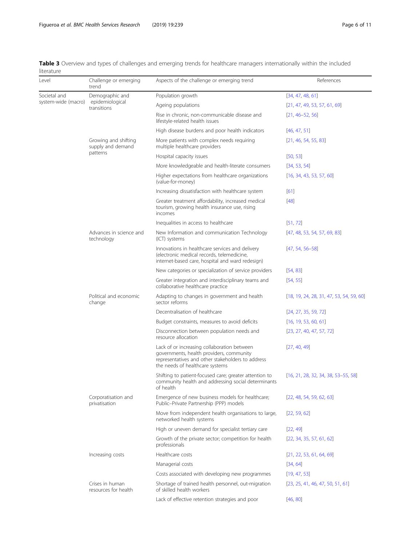<span id="page-5-0"></span>Table 3 Overview and types of challenges and emerging trends for healthcare managers internationally within the included literature

| Level               | Challenge or emerging<br>trend                        | Aspects of the challenge or emerging trend                                                                                                                                      | References                                 |  |
|---------------------|-------------------------------------------------------|---------------------------------------------------------------------------------------------------------------------------------------------------------------------------------|--------------------------------------------|--|
| Societal and        | Demographic and                                       | Population growth                                                                                                                                                               | [34, 47, 48, 61]                           |  |
| system-wide (macro) | epidemiological<br>transitions                        | Ageing populations                                                                                                                                                              | [21, 47, 49, 53, 57, 61, 69]               |  |
|                     |                                                       | Rise in chronic, non-communicable disease and<br>lifestyle-related health issues                                                                                                | $[21, 46 - 52, 56]$                        |  |
|                     |                                                       | High disease burdens and poor health indicators                                                                                                                                 | [46, 47, 51]                               |  |
|                     | Growing and shifting<br>supply and demand<br>patterns | More patients with complex needs requiring<br>multiple healthcare providers                                                                                                     | [21, 46, 54, 55, 83]                       |  |
|                     |                                                       | Hospital capacity issues                                                                                                                                                        | [50, 53]                                   |  |
|                     |                                                       | More knowledgeable and health-literate consumers                                                                                                                                | [34, 53, 54]                               |  |
|                     |                                                       | Higher expectations from healthcare organizations<br>(value-for-money)                                                                                                          | [16, 34, 43, 53, 57, 60]                   |  |
|                     |                                                       | Increasing dissatisfaction with healthcare system                                                                                                                               | [61]                                       |  |
|                     |                                                       | Greater treatment affordability, increased medical<br>tourism, growing health insurance use, rising<br>incomes                                                                  | $[48]$                                     |  |
|                     |                                                       | Inequalities in access to healthcare                                                                                                                                            | [51, 72]                                   |  |
|                     | Advances in science and<br>technology                 | New Information and communication Technology<br>(ICT) systems                                                                                                                   | [47, 48, 53, 54, 57, 69, 83]               |  |
|                     |                                                       | Innovations in healthcare services and delivery<br>(electronic medical records, telemedicine,<br>internet-based care, hospital and ward redesign)                               | $[47, 54, 56 - 58]$                        |  |
|                     |                                                       | New categories or specialization of service providers                                                                                                                           | [54, 83]                                   |  |
|                     |                                                       | Greater integration and interdisciplinary teams and<br>collaborative healthcare practice                                                                                        | [54, 55]                                   |  |
|                     | Political and economic<br>change                      | Adapting to changes in government and health<br>sector reforms                                                                                                                  | $[18, 19, 24, 28, 31, 47, 53, 54, 59, 60]$ |  |
|                     |                                                       | Decentralisation of healthcare                                                                                                                                                  | [24, 27, 35, 59, 72]                       |  |
|                     |                                                       | Budget constraints, measures to avoid deficits                                                                                                                                  | [16, 19, 53, 60, 61]                       |  |
|                     |                                                       | Disconnection between population needs and<br>resource allocation                                                                                                               | [23, 27, 40, 47, 57, 72]                   |  |
|                     |                                                       | Lack of or increasing collaboration between<br>governments, health providers, community<br>representatives and other stakeholders to address<br>the needs of healthcare systems | [27, 40, 49]                               |  |
|                     |                                                       | Shifting to patient-focused care; greater attention to<br>community health and addressing social determinants<br>of health                                                      | $[16, 21, 28, 32, 34, 38, 53-55, 58]$      |  |
|                     | Corporatisation and<br>privatisation                  | Emergence of new business models for healthcare;<br>Public-Private Partnership (PPP) models                                                                                     | [22, 48, 54, 59, 62, 63]                   |  |
|                     |                                                       | Move from independent health organisations to large,<br>networked health systems                                                                                                | [22, 59, 62]                               |  |
|                     |                                                       | High or uneven demand for specialist tertiary care                                                                                                                              | [22, 49]                                   |  |
|                     |                                                       | Growth of the private sector; competition for health<br>professionals                                                                                                           | [22, 34, 35, 57, 61, 62]                   |  |
|                     | Increasing costs                                      | Healthcare costs                                                                                                                                                                | [21, 22, 53, 61, 64, 69]                   |  |
|                     |                                                       | Managerial costs                                                                                                                                                                | [34, 64]                                   |  |
|                     |                                                       | Costs associated with developing new programmes                                                                                                                                 | [19, 47, 53]                               |  |
|                     | Crises in human<br>resources for health               | Shortage of trained health personnel, out-migration<br>of skilled health workers                                                                                                | [23, 25, 41, 46, 47, 50, 51, 61]           |  |
|                     |                                                       | Lack of effective retention strategies and poor                                                                                                                                 | [46, 80]                                   |  |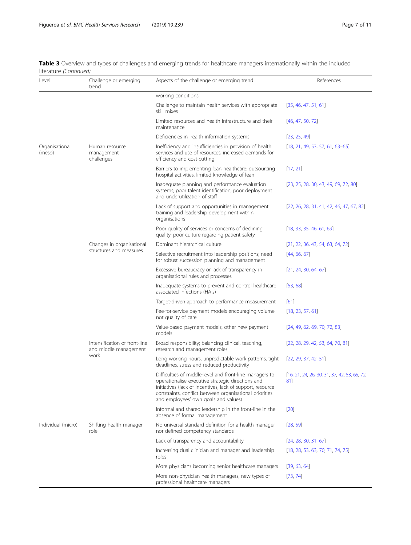Table 3 Overview and types of challenges and emerging trends for healthcare managers internationally within the included literature (Continued)

| Level                    | Challenge or emerging<br>trend                                 | Aspects of the challenge or emerging trend                                                                                                                                                                                                                                    | References                                            |  |
|--------------------------|----------------------------------------------------------------|-------------------------------------------------------------------------------------------------------------------------------------------------------------------------------------------------------------------------------------------------------------------------------|-------------------------------------------------------|--|
|                          |                                                                | working conditions                                                                                                                                                                                                                                                            |                                                       |  |
|                          |                                                                | Challenge to maintain health services with appropriate<br>skill mixes                                                                                                                                                                                                         | [35, 46, 47, 51, 61]                                  |  |
|                          |                                                                | Limited resources and health infrastructure and their<br>maintenance                                                                                                                                                                                                          | [46, 47, 50, 72]                                      |  |
|                          |                                                                | Deficiencies in health information systems                                                                                                                                                                                                                                    | [23, 25, 49]                                          |  |
| Organisational<br>(meso) | Human resource<br>management<br>challenges                     | Inefficiency and insufficiencies in provision of health<br>services and use of resources; increased demands for<br>efficiency and cost-cutting                                                                                                                                | [18, 21, 49, 53, 57, 61, 63–65]                       |  |
|                          |                                                                | Barriers to implementing lean healthcare: outsourcing<br>hospital activities, limited knowledge of lean                                                                                                                                                                       | [17, 21]                                              |  |
|                          |                                                                | Inadequate planning and performance evaluation<br>systems; poor talent identification; poor deployment<br>and underutilization of staff                                                                                                                                       | [23, 25, 28, 30, 43, 49, 69, 72, 80]                  |  |
|                          |                                                                | Lack of support and opportunities in management<br>training and leadership development within<br>organisations                                                                                                                                                                | $[22, 26, 28, 31, 41, 42, 46, 47, 67, 82]$            |  |
|                          |                                                                | Poor quality of services or concerns of declining<br>quality; poor culture regarding patient safety                                                                                                                                                                           | [18, 33, 35, 46, 61, 69]                              |  |
|                          | Changes in organisational<br>structures and measures           | Dominant hierarchical culture                                                                                                                                                                                                                                                 | [21, 22, 36, 43, 54, 63, 64, 72]                      |  |
|                          |                                                                | Selective recruitment into leadership positions; need<br>for robust succession planning and management                                                                                                                                                                        | [44, 66, 67]                                          |  |
|                          |                                                                | Excessive bureaucracy or lack of transparency in<br>organisational rules and processes                                                                                                                                                                                        | [21, 24, 30, 64, 67]                                  |  |
|                          |                                                                | Inadequate systems to prevent and control healthcare<br>associated infections (HAIs)                                                                                                                                                                                          | [53, 68]                                              |  |
|                          |                                                                | Target-driven approach to performance measurement                                                                                                                                                                                                                             | [61]                                                  |  |
|                          |                                                                | Fee-for-service payment models encouraging volume<br>not quality of care                                                                                                                                                                                                      | [18, 23, 57, 61]                                      |  |
|                          |                                                                | Value-based payment models, other new payment<br>models                                                                                                                                                                                                                       | [24, 49, 62, 69, 70, 72, 83]                          |  |
|                          | Intensification of front-line<br>and middle management<br>work | Broad responsibility; balancing clinical, teaching,<br>research and management roles                                                                                                                                                                                          | [22, 28, 29, 42, 53, 64, 70, 81]                      |  |
|                          |                                                                | Long working hours, unpredictable work patterns, tight<br>deadlines, stress and reduced productivity                                                                                                                                                                          | [22, 29, 37, 42, 51]                                  |  |
|                          |                                                                | Difficulties of middle-level and front-line managers to<br>operationalise executive strategic directions and<br>initiatives (lack of incentives, lack of support, resource<br>constraints, conflict between organisational priorities<br>and employees' own goals and values) | $[16, 21, 24, 26, 30, 31, 37, 42, 53, 65, 72,$<br>81] |  |
|                          |                                                                | Informal and shared leadership in the front-line in the<br>absence of formal management                                                                                                                                                                                       | $[20]$                                                |  |
| Individual (micro)       | Shifting health manager<br>role                                | No universal standard definition for a health manager<br>nor defined competency standards                                                                                                                                                                                     | [28, 59]                                              |  |
|                          |                                                                | Lack of transparency and accountability                                                                                                                                                                                                                                       | [24, 28, 30, 31, 67]                                  |  |
|                          |                                                                | Increasing dual clinician and manager and leadership<br>roles                                                                                                                                                                                                                 | [18, 28, 53, 63, 70, 71, 74, 75]                      |  |
|                          |                                                                | More physicians becoming senior healthcare managers                                                                                                                                                                                                                           | [39, 63, 64]                                          |  |
|                          |                                                                | More non-physician health managers, new types of<br>professional healthcare managers                                                                                                                                                                                          | [73, 74]                                              |  |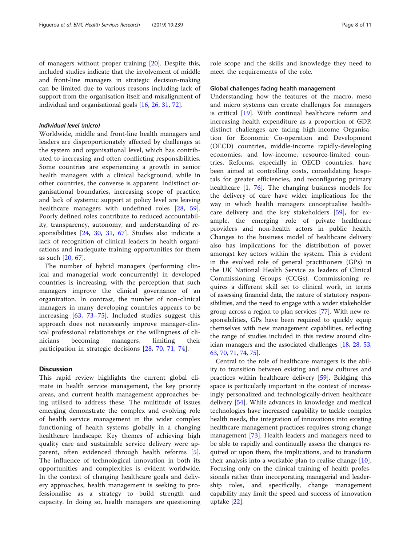#### Individual level (micro)

Worldwide, middle and front-line health managers and leaders are disproportionately affected by challenges at the system and organisational level, which has contributed to increasing and often conflicting responsibilities. Some countries are experiencing a growth in senior health managers with a clinical background, while in other countries, the converse is apparent. Indistinct organisational boundaries, increasing scope of practice, and lack of systemic support at policy level are leaving healthcare managers with undefined roles [\[28](#page-9-0), [59](#page-10-0)]. Poorly defined roles contribute to reduced accountability, transparency, autonomy, and understanding of responsibilities [[24,](#page-9-0) [30](#page-9-0), [31,](#page-9-0) [67](#page-10-0)]. Studies also indicate a lack of recognition of clinical leaders in health organisations and inadequate training opportunities for them as such [\[20](#page-9-0), [67\]](#page-10-0).

The number of hybrid managers (performing clinical and managerial work concurrently) in developed countries is increasing, with the perception that such managers improve the clinical governance of an organization. In contrast, the number of non-clinical managers in many developing countries appears to be increasing  $[63, 73-75]$  $[63, 73-75]$  $[63, 73-75]$  $[63, 73-75]$  $[63, 73-75]$  $[63, 73-75]$ . Included studies suggest this approach does not necessarily improve manager-clinical professional relationships or the willingness of clinicians becoming managers, limiting their participation in strategic decisions [[28](#page-9-0), [70](#page-10-0), [71](#page-10-0), [74](#page-10-0)].

#### **Discussion**

This rapid review highlights the current global climate in health service management, the key priority areas, and current health management approaches being utilised to address these. The multitude of issues emerging demonstrate the complex and evolving role of health service management in the wider complex functioning of health systems globally in a changing healthcare landscape. Key themes of achieving high quality care and sustainable service delivery were apparent, often evidenced through health reforms [\[5](#page-9-0)]. The influence of technological innovation in both its opportunities and complexities is evident worldwide. In the context of changing healthcare goals and delivery approaches, health management is seeking to professionalise as a strategy to build strength and capacity. In doing so, health managers are questioning role scope and the skills and knowledge they need to meet the requirements of the role.

#### Global challenges facing health management

Understanding how the features of the macro, meso and micro systems can create challenges for managers is critical [\[19](#page-9-0)]. With continual healthcare reform and increasing health expenditure as a proportion of GDP, distinct challenges are facing high-income Organisation for Economic Co-operation and Development (OECD) countries, middle-income rapidly-developing economies, and low-income, resource-limited countries. Reforms, especially in OECD countries, have been aimed at controlling costs, consolidating hospitals for greater efficiencies, and reconfiguring primary healthcare [[1,](#page-9-0) [76\]](#page-10-0). The changing business models for the delivery of care have wider implications for the way in which health managers conceptualise healthcare delivery and the key stakeholders [[59\]](#page-10-0), for example, the emerging role of private healthcare providers and non-health actors in public health. Changes to the business model of healthcare delivery also has implications for the distribution of power amongst key actors within the system. This is evident in the evolved role of general practitioners (GPs) in the UK National Health Service as leaders of Clinical Commissioning Groups (CCGs). Commissioning requires a different skill set to clinical work, in terms of assessing financial data, the nature of statutory responsibilities, and the need to engage with a wider stakeholder group across a region to plan services [\[77\]](#page-10-0). With new responsibilities, GPs have been required to quickly equip themselves with new management capabilities, reflecting the range of studies included in this review around clinician managers and the associated challenges [\[18,](#page-9-0) [28,](#page-9-0) [53](#page-10-0), [63](#page-10-0), [70,](#page-10-0) [71](#page-10-0), [74](#page-10-0), [75\]](#page-10-0).

Central to the role of healthcare managers is the ability to transition between existing and new cultures and practices within healthcare delivery [[59\]](#page-10-0). Bridging this space is particularly important in the context of increasingly personalized and technologically-driven healthcare delivery [[54\]](#page-10-0). While advances in knowledge and medical technologies have increased capability to tackle complex health needs, the integration of innovations into existing healthcare management practices requires strong change management [\[73\]](#page-10-0). Health leaders and managers need to be able to rapidly and continually assess the changes required or upon them, the implications, and to transform their analysis into a workable plan to realise change [\[10](#page-9-0)]. Focusing only on the clinical training of health professionals rather than incorporating managerial and leadership roles, and specifically, change management capability may limit the speed and success of innovation uptake [\[22](#page-9-0)].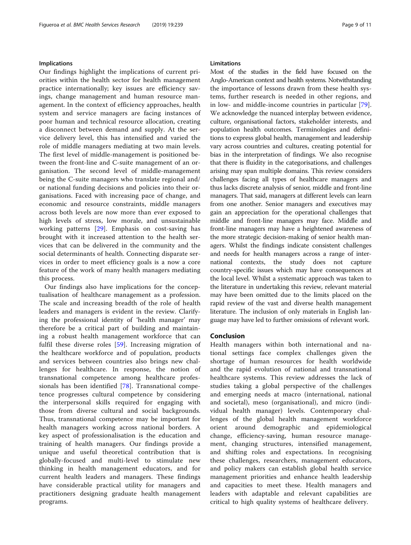#### Implications

Our findings highlight the implications of current priorities within the health sector for health management practice internationally; key issues are efficiency savings, change management and human resource management. In the context of efficiency approaches, health system and service managers are facing instances of poor human and technical resource allocation, creating a disconnect between demand and supply. At the service delivery level, this has intensified and varied the role of middle managers mediating at two main levels. The first level of middle-management is positioned between the front-line and C-suite management of an organisation. The second level of middle-management being the C-suite managers who translate regional and/ or national funding decisions and policies into their organisations. Faced with increasing pace of change, and economic and resource constraints, middle managers across both levels are now more than ever exposed to high levels of stress, low morale, and unsustainable working patterns [\[29](#page-9-0)]. Emphasis on cost-saving has brought with it increased attention to the health services that can be delivered in the community and the social determinants of health. Connecting disparate services in order to meet efficiency goals is a now a core feature of the work of many health managers mediating this process.

Our findings also have implications for the conceptualisation of healthcare management as a profession. The scale and increasing breadth of the role of health leaders and managers is evident in the review. Clarifying the professional identity of 'health manager' may therefore be a critical part of building and maintaining a robust health management workforce that can fulfil these diverse roles [[59\]](#page-10-0). Increasing migration of the healthcare workforce and of population, products and services between countries also brings new challenges for healthcare. In response, the notion of transnational competence among healthcare professionals has been identified [\[78](#page-10-0)]. Transnational competence progresses cultural competence by considering the interpersonal skills required for engaging with those from diverse cultural and social backgrounds. Thus, transnational competence may be important for health managers working across national borders. A key aspect of professionalisation is the education and training of health managers. Our findings provide a unique and useful theoretical contribution that is globally-focused and multi-level to stimulate new thinking in health management educators, and for current health leaders and managers. These findings have considerable practical utility for managers and practitioners designing graduate health management programs.

#### Limitations

Most of the studies in the field have focused on the Anglo-American context and health systems. Notwithstanding the importance of lessons drawn from these health systems, further research is needed in other regions, and in low- and middle-income countries in particular [\[79](#page-10-0)]. We acknowledge the nuanced interplay between evidence, culture, organisational factors, stakeholder interests, and population health outcomes. Terminologies and definitions to express global health, management and leadership vary across countries and cultures, creating potential for bias in the interpretation of findings. We also recognise that there is fluidity in the categorisations, and challenges arising may span multiple domains. This review considers challenges facing all types of healthcare managers and thus lacks discrete analysis of senior, middle and front-line managers. That said, managers at different levels can learn from one another. Senior managers and executives may gain an appreciation for the operational challenges that middle and front-line managers may face. Middle and front-line managers may have a heightened awareness of the more strategic decision-making of senior health managers. Whilst the findings indicate consistent challenges and needs for health managers across a range of international contexts, the study does not capture country-specific issues which may have consequences at the local level. Whilst a systematic approach was taken to the literature in undertaking this review, relevant material may have been omitted due to the limits placed on the rapid review of the vast and diverse health management literature. The inclusion of only materials in English language may have led to further omissions of relevant work.

#### Conclusion

Health managers within both international and national settings face complex challenges given the shortage of human resources for health worldwide and the rapid evolution of national and transnational healthcare systems. This review addresses the lack of studies taking a global perspective of the challenges and emerging needs at macro (international, national and societal), meso (organisational), and micro (individual health manager) levels. Contemporary challenges of the global health management workforce orient around demographic and epidemiological change, efficiency-saving, human resource management, changing structures, intensified management, and shifting roles and expectations. In recognising these challenges, researchers, management educators, and policy makers can establish global health service management priorities and enhance health leadership and capacities to meet these. Health managers and leaders with adaptable and relevant capabilities are critical to high quality systems of healthcare delivery.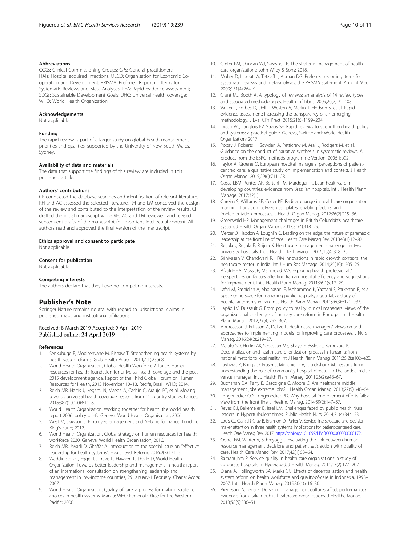#### <span id="page-9-0"></span>Abbreviations

CCGs: Clinical Commissioning Groups; GPs: General practitioners; HAIs: Hospital acquired infections; OECD: Organisation for Economic Cooperation and Development; PRISMA: Preferred Reporting Items for Systematic Reviews and Meta-Analyses; REA: Rapid evidence assessment; SDGs: Sustainable Development Goals; UHC: Universal health coverage; WHO: World Health Organization

#### Acknowledgements

Not applicable

#### Funding

The rapid review is part of a larger study on global health management priorities and qualities, supported by the University of New South Wales, Sydney.

#### Availability of data and materials

The data that support the findings of this review are included in this published article.

#### Authors' contributions

CF conducted the database searches and identification of relevant literature. RH and AC assessed the selected literature. RH and LM conceived the design of the review and contributed to the interpretation of the review results. CF drafted the initial manuscript while RH, AC and LM reviewed and revised subsequent drafts of the manuscript for important intellectual content. All authors read and approved the final version of the manuscript.

#### Ethics approval and consent to participate

Not applicable

#### Consent for publication

Not applicable

#### Competing interests

The authors declare that they have no competing interests.

#### Publisher's Note

Springer Nature remains neutral with regard to jurisdictional claims in published maps and institutional affiliations.

#### Received: 8 March 2019 Accepted: 9 April 2019 Published online: 24 April 2019

#### References

- 1. Senkubuge F, Modisenyane M, Bishaw T. Strengthening health systems by health sector reforms. Glob Health Action. 2014;7(1):23568.
- 2. World Health Organization, Global Health Workforce Alliance. Human resources for health: foundation for universal health coverage and the post-2015 development agenda. Report of the Third Global Forum on Human Resources for Health, 2013 November 10–13. Recife, Brazil: WHO; 2014.
- Reich MR, Harris J, Ikegami N, Maeda A, Cashin C, Araujo EC, et al. Moving towards universal health coverage: lessons from 11 country studies. Lancet. 2016;387(10020):811–6.
- 4. World Health Organisation. Working together for health: the world health report 2006: policy briefs. Geneva: World Health Organisation; 2006.
- 5. West M, Dawson J. Employee engagement and NHS performance. London: King's Fund; 2012.
- 6. World Health Organization. Global strategy on human resources for health: workforce 2030. Geneva: World Health Organisation; 2016.
- 7. Reich MR, Javadi D, Ghaffar A. Introduction to the special issue on "effective leadership for health systems". Health Syst Reform. 2016;2(3):171–5.
- 8. Waddington C, Egger D, Travis P, Hawken L, Dovlo D, World Health Organization. Towards better leadership and management in health: report of an international consultation on strengthening leadership and management in low-income countries, 29 January-1 February. Ghana: Accra; 2007.
- 9. World Health Organization. Quality of care: a process for making strategic choices in health systems. Manila: WHO Regional Office for the Western Pacific; 2006.
- 10. Ginter PM, Duncan WJ, Swayne LE. The strategic management of health care organizations: John Wiley & Sons; 2018.
- 11. Moher D, Liberati A, Tetzlaff J, Altman DG. Preferred reporting items for systematic reviews and meta-analyses: the PRISMA statement. Ann Int Med. 2009;151(4):264–9.
- 12. Grant MJ, Booth A. A typology of reviews: an analysis of 14 review types and associated methodologies. Health Inf Libr J. 2009;26(2):91–108.
- 13. Varker T, Forbes D, Dell L, Weston A, Merlin T, Hodson S, et al. Rapid evidence assessment: increasing the transparency of an emerging methodology. J Eval Clin Pract. 2015;21(6):1199–204.
- 14. Tricco AC, Langlois EV, Straus SE. Rapid reviews to strengthen health policy and systems: a practical guide. Geneva, Switzerland: World Health Organization; 2017.
- 15. Popay J, Roberts H, Sowden A, Petticrew M, Arai L, Rodgers M, et al. Guidance on the conduct of narrative synthesis in systematic reviews. A product from the ESRC methods programme Version. 2006;1:b92.
- 16. Taylor A, Groene O. European hospital managers' perceptions of patientcentred care: a qualitative study on implementation and context. J Health Organ Manag. 2015;29(6):711–28.
- 17. Costa LBM, Rentes AF, Bertani TM, Mardegan R. Lean healthcare in developing countries: evidence from Brazilian hospitals. Int J Health Plann Manage. 2017;32(1).
- 18. Chreim S, Williams BE, Coller KE. Radical change in healthcare organization: mapping transition between templates, enabling factors, and implementation processes. J Health Organ Manag. 2012;26(2):215–36.
- 19. Greenwald HP. Management challenges in British Columbia's healthcare system. J Health Organ Manag. 2017;31(4):418–29.
- 20. Mercer D, Haddon A, Loughlin C. Leading on the edge: the nature of paramedic leadership at the front line of care. Health Care Manag Rev. 2018;43(1):12–20.
- 21. Reijula J, Reijula E, Reijula K. Healthcare management challenges in two university hospitals. Int J Healthc Tech Manag. 2016;15(4):308–25.
- 22. Srinivasan V, Chandwani R. HRM innovations in rapid growth contexts: the healthcare sector in India. Int J Hum Res Manage. 2014;25(10):1505–25.
- 23. Afzali HHA, Moss JR, Mahmood MA. Exploring health professionals' perspectives on factors affecting Iranian hospital efficiency and suggestions for improvement. Int J Health Plann Manag. 2011;26(1):e17–29.
- 24. Jafari M, Rashidian A, Abolhasani F, Mohammad K, Yazdani S, Parkerton P, et al. Space or no space for managing public hospitals; a qualitative study of hospital autonomy in Iran. Int J Health Plann Manag. 2011;26(3):e121–e37.
- 25. Lapão LV, Dussault G. From policy to reality: clinical managers' views of the organizational challenges of primary care reform in Portugal. Int J Health Plann Manag. 2012;27(4):295–307.
- 26. Andreasson J, Eriksson A, Dellve L. Health care managers' views on and approaches to implementing models for improving care processes. J Nurs Manag. 2016;24(2):219–27.
- 27. Maluka SO, Hurtig AK, Sebastián MS, Shayo E, Byskov J, Kamuzora P. Decentralization and health care prioritization process in Tanzania: from national rhetoric to local reality. Int J Health Plann Manag. 2011;26(2):e102–e20.
- 28. Taytiwat P, Briggs D, Fraser J, Minichiello V, Cruickshank M. Lessons from understanding the role of community hospital director in Thailand: clinician versus manager. Int J Health Plann Manag. 2011;26(2):e48–67.
- 29. Buchanan DA, Parry E, Gascoigne C, Moore C. Are healthcare middle management jobs extreme jobs? J Health Organ Manag. 2013;27(5):646–64.
- 30. Longenecker CO, Longenecker PD. Why hospital improvement efforts fail: a view from the front line. J Healthc Manag. 2014;59(2):147–57.
- 31. Reyes DJ, Bekemeier B, Issel LM. Challenges faced by public health Nurs leaders in Hyperturbulent times. Public Health Nurs. 2014;31(4):344–53.
- 32. Louis CJ, Clark JR, Gray B, Brannon D, Parker V. Service line structure and decisionmaker attention in three health systems: implications for patient-centered care. Health Care Manag Rev. 2017. [https://doi.org/10.1097/HMR.0000000000000172.](https://doi.org/10.1097/HMR.0000000000000172)
- 33. Oppel EM, Winter V, Schreyogg J. Evaluating the link between human resource management decisions and patient satisfaction with quality of care. Health Care Manag Rev. 2017;42(1):53–64.
- 34. Ramanujam P. Service quality in health care organisations: a study of corporate hospitals in Hyderabad. J Health Manag. 2011;13(2):177–202.
- 35. Diana A, Hollingworth SA, Marks GC. Effects of decentralisation and health system reform on health workforce and quality-of-care in Indonesia, 1993– 2007. Int J Health Plann Manag. 2015;30(1):e16–30.
- 36. Prenestini A, Lega F. Do senior management cultures affect performance? Evidence from Italian public healthcare organizations. J Healthc Manag. 2013;58(5):336–51.